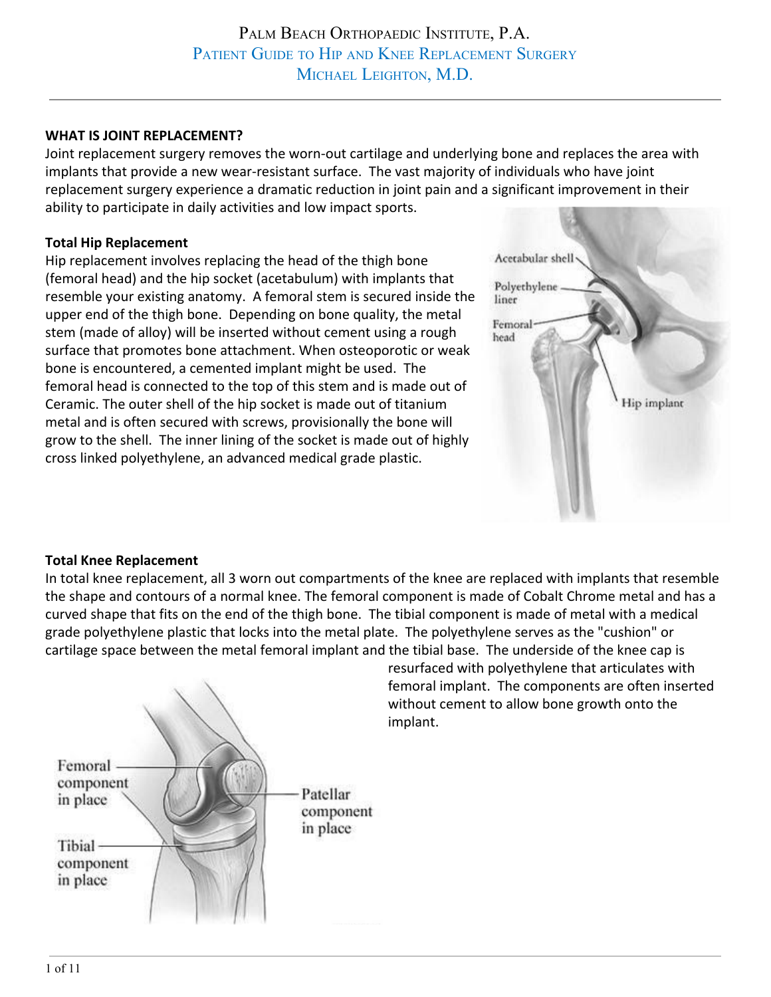## **WHAT IS JOINT REPLACEMENT?**

Joint replacement surgery removes the worn-out cartilage and underlying bone and replaces the area with implants that provide a new wear-resistant surface. The vast majority of individuals who have joint replacement surgery experience a dramatic reduction in joint pain and a significant improvement in their ability to participate in daily activities and low impact sports.

#### **Total Hip Replacement**

Hip replacement involves replacing the head of the thigh bone (femoral head) and the hip socket (acetabulum) with implants that resemble your existing anatomy. A femoral stem is secured inside the upper end of the thigh bone. Depending on bone quality, the metal stem (made of alloy) will be inserted without cement using a rough surface that promotes bone attachment. When osteoporotic or weak bone is encountered, a cemented implant might be used. The femoral head is connected to the top of this stem and is made out of Ceramic. The outer shell of the hip socket is made out of titanium metal and is often secured with screws, provisionally the bone will grow to the shell. The inner lining of the socket is made out of highly cross linked polyethylene, an advanced medical grade plastic.



## **Total Knee Replacement**

In total knee replacement, all 3 worn out compartments of the knee are replaced with implants that resemble the shape and contours of a normal knee. The femoral component is made of Cobalt Chrome metal and has a curved shape that fits on the end of the thigh bone. The tibial component is made of metal with a medical grade polyethylene plastic that locks into the metal plate. The polyethylene serves as the "cushion" or cartilage space between the metal femoral implant and the tibial base. The underside of the knee cap is



resurfaced with polyethylene that articulates with femoral implant. The components are often inserted without cement to allow bone growth onto the implant.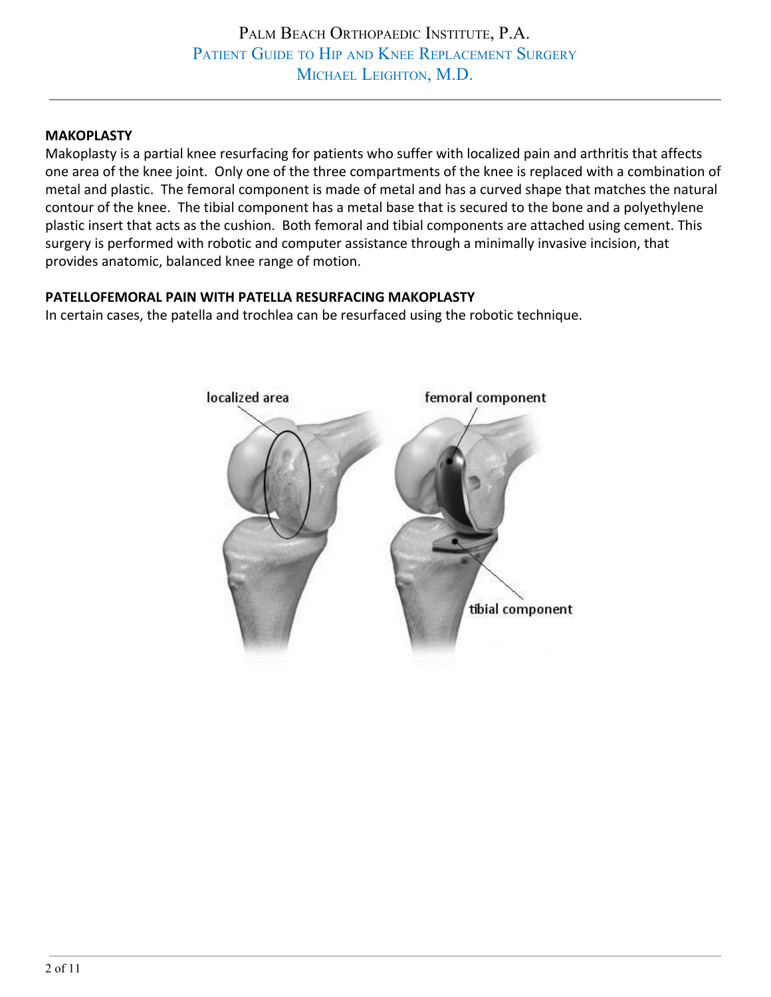### **MAKOPLASTY**

Makoplasty is a partial knee resurfacing for patients who suffer with localized pain and arthritis that affects one area of the knee joint. Only one of the three compartments of the knee is replaced with a combination of metal and plastic. The femoral component is made of metal and has a curved shape that matches the natural contour of the knee. The tibial component has a metal base that is secured to the bone and a polyethylene plastic insert that acts as the cushion. Both femoral and tibial components are attached using cement. This surgery is performed with robotic and computer assistance through a minimally invasive incision, that provides anatomic, balanced knee range of motion.

#### **PATELLOFEMORAL PAIN WITH PATELLA RESURFACING MAKOPLASTY**

In certain cases, the patella and trochlea can be resurfaced using the robotic technique.

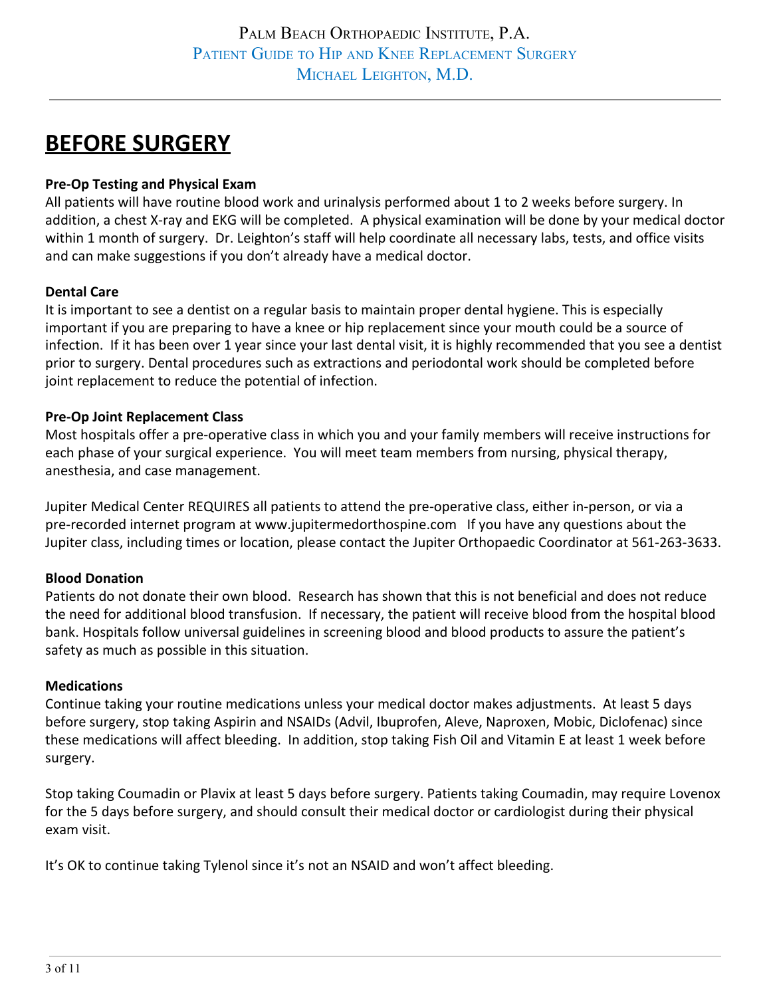# **BEFORE SURGERY**

## **Pre-Op Testing and Physical Exam**

All patients will have routine blood work and urinalysis performed about 1 to 2 weeks before surgery. In addition, a chest X-ray and EKG will be completed. A physical examination will be done by your medical doctor within 1 month of surgery. Dr. Leighton's staff will help coordinate all necessary labs, tests, and office visits and can make suggestions if you don't already have a medical doctor.

## **Dental Care**

It is important to see a dentist on a regular basis to maintain proper dental hygiene. This is especially important if you are preparing to have a knee or hip replacement since your mouth could be a source of infection. If it has been over 1 year since your last dental visit, it is highly recommended that you see a dentist prior to surgery. Dental procedures such as extractions and periodontal work should be completed before joint replacement to reduce the potential of infection.

#### **Pre-Op Joint Replacement Class**

Most hospitals offer a pre-operative class in which you and your family members will receive instructions for each phase of your surgical experience. You will meet team members from nursing, physical therapy, anesthesia, and case management.

Jupiter Medical Center REQUIRES all patients to attend the pre-operative class, either in-person, or via a pre-recorded internet program at www.jupitermedorthospine.com If you have any questions about the Jupiter class, including times or location, please contact the Jupiter Orthopaedic Coordinator at 561-263-3633.

## **Blood Donation**

Patients do not donate their own blood. Research has shown that this is not beneficial and does not reduce the need for additional blood transfusion. If necessary, the patient will receive blood from the hospital blood bank. Hospitals follow universal guidelines in screening blood and blood products to assure the patient's safety as much as possible in this situation.

## **Medications**

Continue taking your routine medications unless your medical doctor makes adjustments. At least 5 days before surgery, stop taking Aspirin and NSAIDs (Advil, Ibuprofen, Aleve, Naproxen, Mobic, Diclofenac) since these medications will affect bleeding. In addition, stop taking Fish Oil and Vitamin E at least 1 week before surgery.

Stop taking Coumadin or Plavix at least 5 days before surgery. Patients taking Coumadin, may require Lovenox for the 5 days before surgery, and should consult their medical doctor or cardiologist during their physical exam visit.

It's OK to continue taking Tylenol since it's not an NSAID and won't affect bleeding.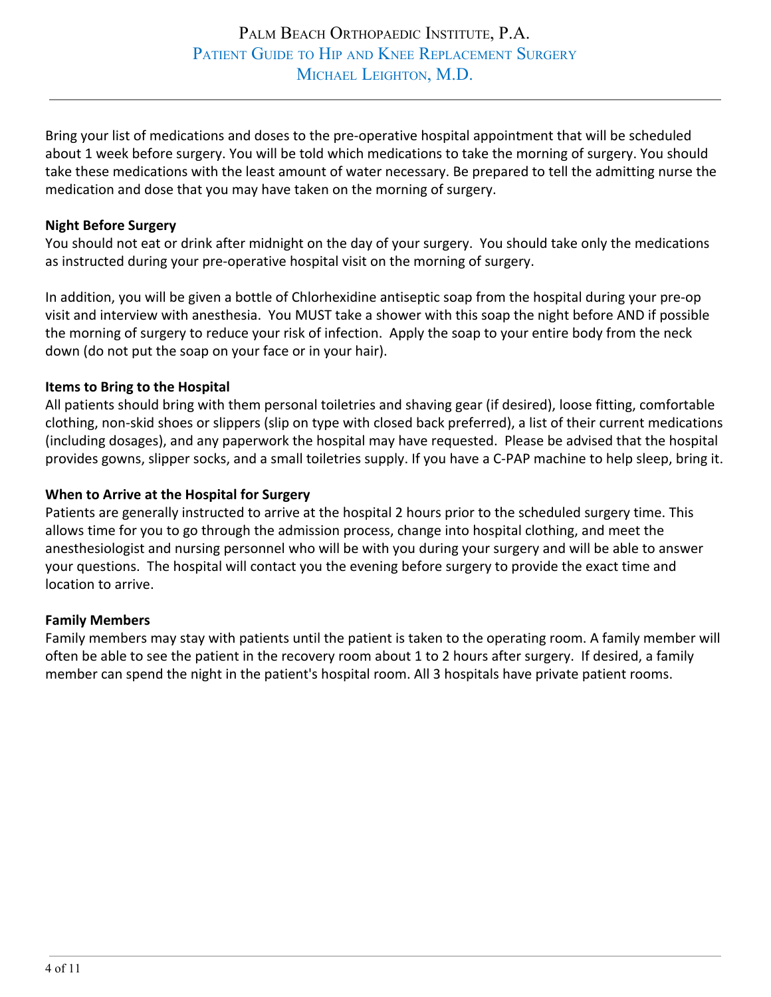Bring your list of medications and doses to the pre-operative hospital appointment that will be scheduled about 1 week before surgery. You will be told which medications to take the morning of surgery. You should take these medications with the least amount of water necessary. Be prepared to tell the admitting nurse the medication and dose that you may have taken on the morning of surgery.

#### **Night Before Surgery**

You should not eat or drink after midnight on the day of your surgery. You should take only the medications as instructed during your pre-operative hospital visit on the morning of surgery.

In addition, you will be given a bottle of Chlorhexidine antiseptic soap from the hospital during your pre-op visit and interview with anesthesia. You MUST take a shower with this soap the night before AND if possible the morning of surgery to reduce your risk of infection. Apply the soap to your entire body from the neck down (do not put the soap on your face or in your hair).

#### **Items to Bring to the Hospital**

All patients should bring with them personal toiletries and shaving gear (if desired), loose fitting, comfortable clothing, non-skid shoes or slippers (slip on type with closed back preferred), a list of their current medications (including dosages), and any paperwork the hospital may have requested. Please be advised that the hospital provides gowns, slipper socks, and a small toiletries supply. If you have a C-PAP machine to help sleep, bring it.

#### **When to Arrive at the Hospital for Surgery**

Patients are generally instructed to arrive at the hospital 2 hours prior to the scheduled surgery time. This allows time for you to go through the admission process, change into hospital clothing, and meet the anesthesiologist and nursing personnel who will be with you during your surgery and will be able to answer your questions. The hospital will contact you the evening before surgery to provide the exact time and location to arrive.

#### **Family Members**

Family members may stay with patients until the patient is taken to the operating room. A family member will often be able to see the patient in the recovery room about 1 to 2 hours after surgery. If desired, a family member can spend the night in the patient's hospital room. All 3 hospitals have private patient rooms.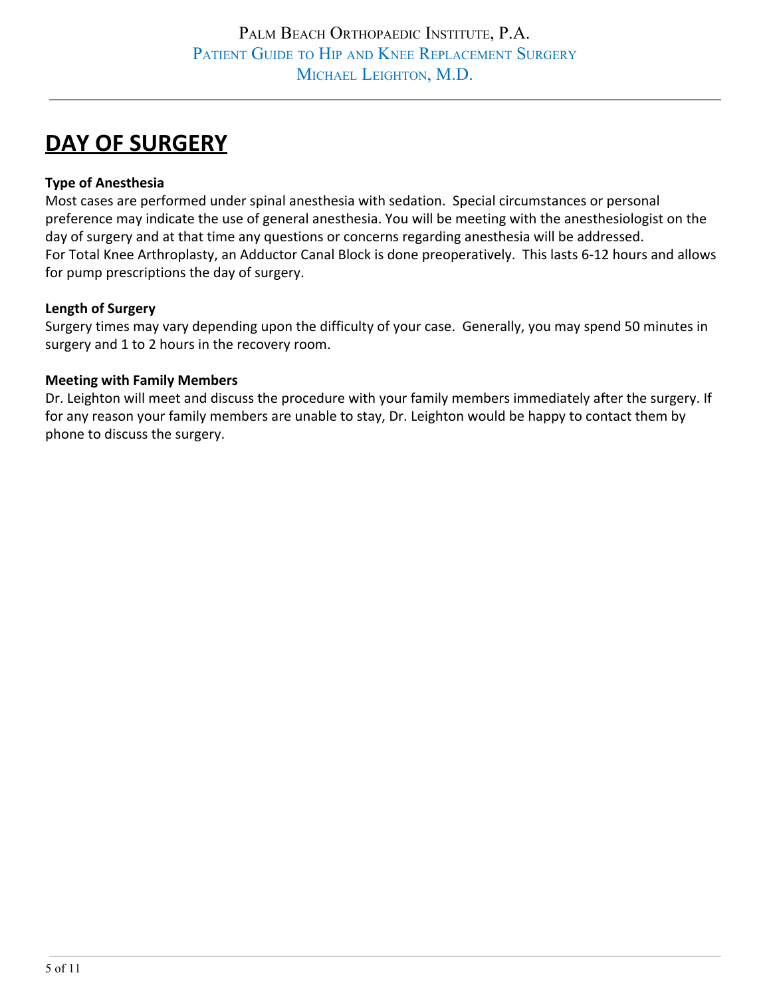# **DAY OF SURGERY**

## **Type of Anesthesia**

Most cases are performed under spinal anesthesia with sedation. Special circumstances or personal preference may indicate the use of general anesthesia. You will be meeting with the anesthesiologist on the day of surgery and at that time any questions or concerns regarding anesthesia will be addressed. For Total Knee Arthroplasty, an Adductor Canal Block is done preoperatively. This lasts 6-12 hours and allows for pump prescriptions the day of surgery.

## **Length of Surgery**

Surgery times may vary depending upon the difficulty of your case. Generally, you may spend 50 minutes in surgery and 1 to 2 hours in the recovery room.

## **Meeting with Family Members**

Dr. Leighton will meet and discuss the procedure with your family members immediately after the surgery. If for any reason your family members are unable to stay, Dr. Leighton would be happy to contact them by phone to discuss the surgery.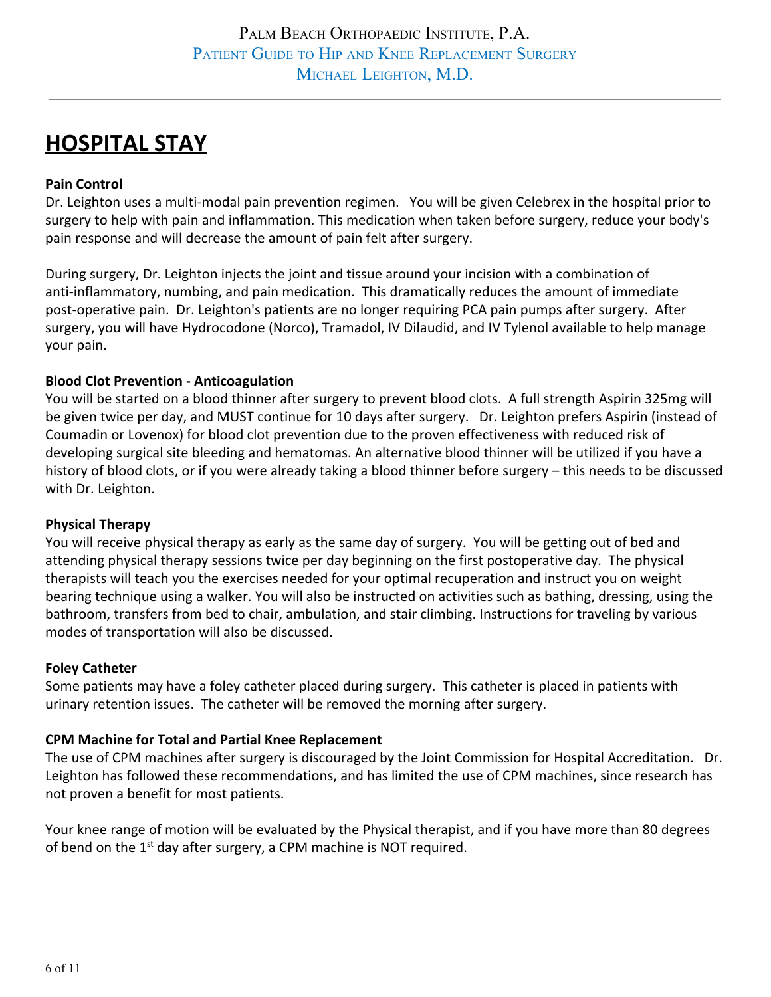# **HOSPITAL STAY**

## **Pain Control**

Dr. Leighton uses a multi-modal pain prevention regimen. You will be given Celebrex in the hospital prior to surgery to help with pain and inflammation. This medication when taken before surgery, reduce your body's pain response and will decrease the amount of pain felt after surgery.

During surgery, Dr. Leighton injects the joint and tissue around your incision with a combination of anti-inflammatory, numbing, and pain medication. This dramatically reduces the amount of immediate post-operative pain. Dr. Leighton's patients are no longer requiring PCA pain pumps after surgery. After surgery, you will have Hydrocodone (Norco), Tramadol, IV Dilaudid, and IV Tylenol available to help manage your pain.

## **Blood Clot Prevention - Anticoagulation**

You will be started on a blood thinner after surgery to prevent blood clots. A full strength Aspirin 325mg will be given twice per day, and MUST continue for 10 days after surgery. Dr. Leighton prefers Aspirin (instead of Coumadin or Lovenox) for blood clot prevention due to the proven effectiveness with reduced risk of developing surgical site bleeding and hematomas. An alternative blood thinner will be utilized if you have a history of blood clots, or if you were already taking a blood thinner before surgery – this needs to be discussed with Dr. Leighton.

## **Physical Therapy**

You will receive physical therapy as early as the same day of surgery. You will be getting out of bed and attending physical therapy sessions twice per day beginning on the first postoperative day. The physical therapists will teach you the exercises needed for your optimal recuperation and instruct you on weight bearing technique using a walker. You will also be instructed on activities such as bathing, dressing, using the bathroom, transfers from bed to chair, ambulation, and stair climbing. Instructions for traveling by various modes of transportation will also be discussed.

## **Foley Catheter**

Some patients may have a foley catheter placed during surgery. This catheter is placed in patients with urinary retention issues. The catheter will be removed the morning after surgery.

## **CPM Machine for Total and Partial Knee Replacement**

The use of CPM machines after surgery is discouraged by the Joint Commission for Hospital Accreditation. Dr. Leighton has followed these recommendations, and has limited the use of CPM machines, since research has not proven a benefit for most patients.

Your knee range of motion will be evaluated by the Physical therapist, and if you have more than 80 degrees of bend on the 1<sup>st</sup> day after surgery, a CPM machine is NOT required.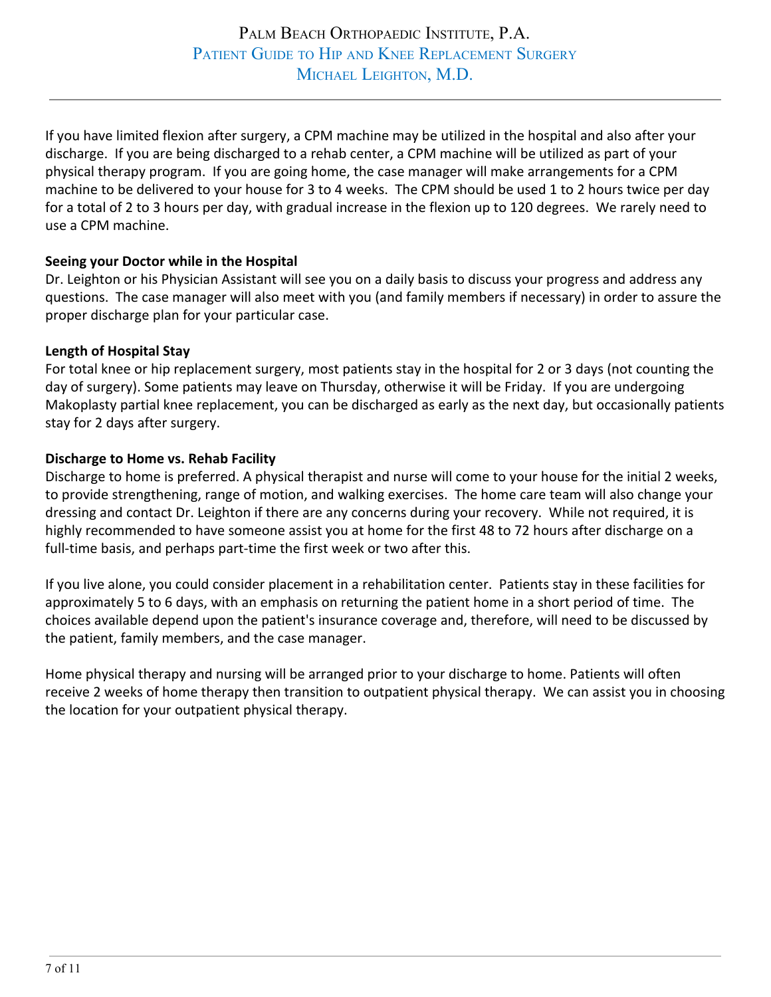If you have limited flexion after surgery, a CPM machine may be utilized in the hospital and also after your discharge. If you are being discharged to a rehab center, a CPM machine will be utilized as part of your physical therapy program. If you are going home, the case manager will make arrangements for a CPM machine to be delivered to your house for 3 to 4 weeks. The CPM should be used 1 to 2 hours twice per day for a total of 2 to 3 hours per day, with gradual increase in the flexion up to 120 degrees. We rarely need to use a CPM machine.

## **Seeing your Doctor while in the Hospital**

Dr. Leighton or his Physician Assistant will see you on a daily basis to discuss your progress and address any questions. The case manager will also meet with you (and family members if necessary) in order to assure the proper discharge plan for your particular case.

#### **Length of Hospital Stay**

For total knee or hip replacement surgery, most patients stay in the hospital for 2 or 3 days (not counting the day of surgery). Some patients may leave on Thursday, otherwise it will be Friday. If you are undergoing Makoplasty partial knee replacement, you can be discharged as early as the next day, but occasionally patients stay for 2 days after surgery.

#### **Discharge to Home vs. Rehab Facility**

Discharge to home is preferred. A physical therapist and nurse will come to your house for the initial 2 weeks, to provide strengthening, range of motion, and walking exercises. The home care team will also change your dressing and contact Dr. Leighton if there are any concerns during your recovery. While not required, it is highly recommended to have someone assist you at home for the first 48 to 72 hours after discharge on a full-time basis, and perhaps part-time the first week or two after this.

If you live alone, you could consider placement in a rehabilitation center. Patients stay in these facilities for approximately 5 to 6 days, with an emphasis on returning the patient home in a short period of time. The choices available depend upon the patient's insurance coverage and, therefore, will need to be discussed by the patient, family members, and the case manager.

Home physical therapy and nursing will be arranged prior to your discharge to home. Patients will often receive 2 weeks of home therapy then transition to outpatient physical therapy. We can assist you in choosing the location for your outpatient physical therapy.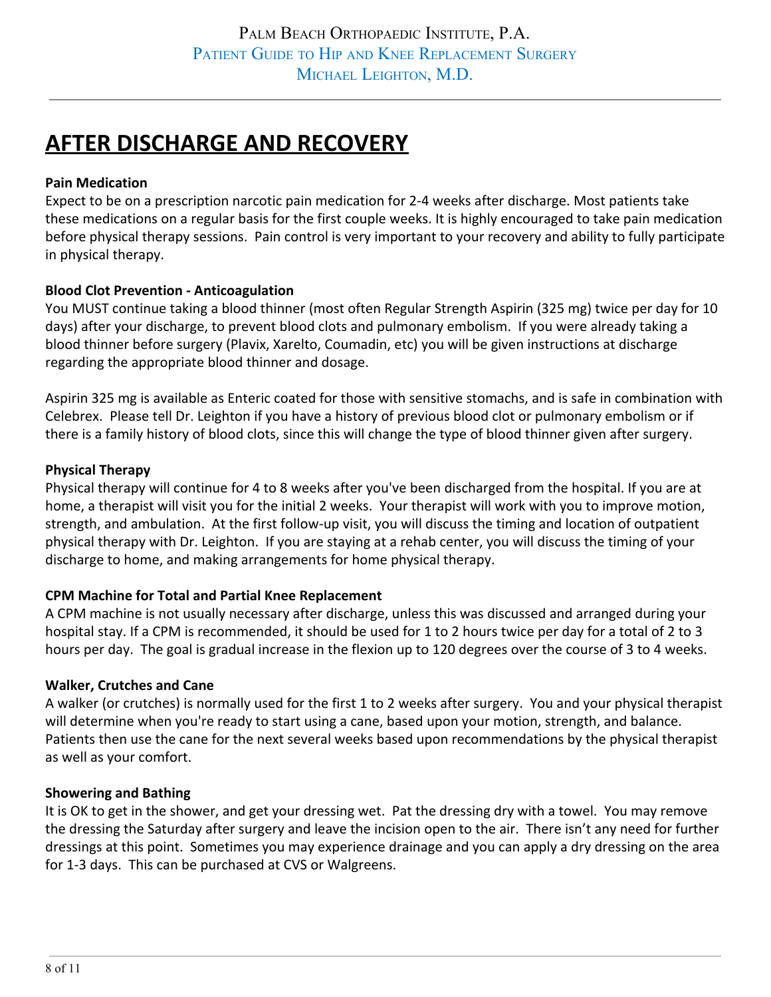# **AFTER DISCHARGE AND RECOVERY**

### **Pain Medication**

Expect to be on a prescription narcotic pain medication for 2-4 weeks after discharge. Most patients take these medications on a regular basis for the first couple weeks. It is highly encouraged to take pain medication before physical therapy sessions. Pain control is very important to your recovery and ability to fully participate in physical therapy.

#### **Blood Clot Prevention - Anticoagulation**

You MUST continue taking a blood thinner (most often Regular Strength Aspirin (325 mg) twice per day for 10 days) after your discharge, to prevent blood clots and pulmonary embolism. If you were already taking a blood thinner before surgery (Plavix, Xarelto, Coumadin, etc) you will be given instructions at discharge regarding the appropriate blood thinner and dosage.

Aspirin 325 mg is available as Enteric coated for those with sensitive stomachs, and is safe in combination with Celebrex. Please tell Dr. Leighton if you have a history of previous blood clot or pulmonary embolism or if there is a family history of blood clots, since this will change the type of blood thinner given after surgery.

#### **Physical Therapy**

Physical therapy will continue for 4 to 8 weeks after you've been discharged from the hospital. If you are at home, a therapist will visit you for the initial 2 weeks. Your therapist will work with you to improve motion, strength, and ambulation. At the first follow-up visit, you will discuss the timing and location of outpatient physical therapy with Dr. Leighton. If you are staying at a rehab center, you will discuss the timing of your discharge to home, and making arrangements for home physical therapy.

## **CPM Machine for Total and Partial Knee Replacement**

A CPM machine is not usually necessary after discharge, unless this was discussed and arranged during your hospital stay. If a CPM is recommended, it should be used for 1 to 2 hours twice per day for a total of 2 to 3 hours per day. The goal is gradual increase in the flexion up to 120 degrees over the course of 3 to 4 weeks.

#### **Walker, Crutches and Cane**

A walker (or crutches) is normally used for the first 1 to 2 weeks after surgery. You and your physical therapist will determine when you're ready to start using a cane, based upon your motion, strength, and balance. Patients then use the cane for the next several weeks based upon recommendations by the physical therapist as well as your comfort.

#### **Showering and Bathing**

It is OK to get in the shower, and get your dressing wet. Pat the dressing dry with a towel. You may remove the dressing the Saturday after surgery and leave the incision open to the air. There isn't any need for further dressings at this point. Sometimes you may experience drainage and you can apply a dry dressing on the area for 1-3 days. This can be purchased at CVS or Walgreens.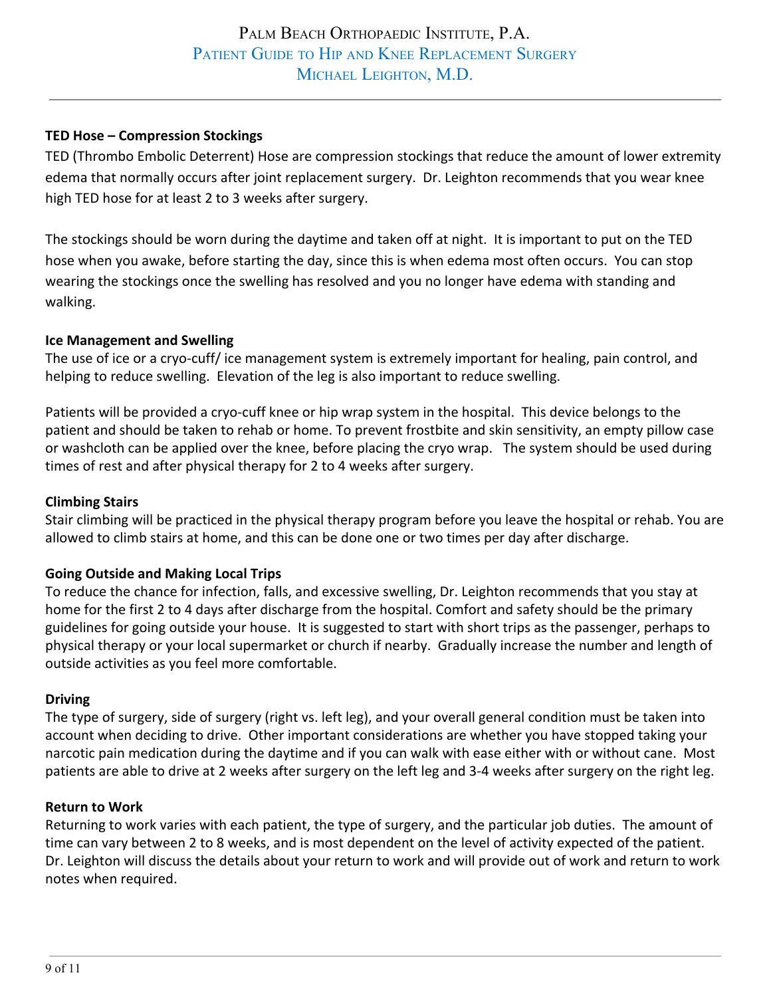## **TED Hose – Compression Stockings**

TED (Thrombo Embolic Deterrent) Hose are compression stockings that reduce the amount of lower extremity edema that normally occurs after joint replacement surgery. Dr. Leighton recommends that you wear knee high TED hose for at least 2 to 3 weeks after surgery.

The stockings should be worn during the daytime and taken off at night. It is important to put on the TED hose when you awake, before starting the day, since this is when edema most often occurs. You can stop wearing the stockings once the swelling has resolved and you no longer have edema with standing and walking.

## **Ice Management and Swelling**

The use of ice or a cryo-cuff/ ice management system is extremely important for healing, pain control, and helping to reduce swelling. Elevation of the leg is also important to reduce swelling.

Patients will be provided a cryo-cuff knee or hip wrap system in the hospital. This device belongs to the patient and should be taken to rehab or home. To prevent frostbite and skin sensitivity, an empty pillow case or washcloth can be applied over the knee, before placing the cryo wrap. The system should be used during times of rest and after physical therapy for 2 to 4 weeks after surgery.

### **Climbing Stairs**

Stair climbing will be practiced in the physical therapy program before you leave the hospital or rehab. You are allowed to climb stairs at home, and this can be done one or two times per day after discharge.

## **Going Outside and Making Local Trips**

To reduce the chance for infection, falls, and excessive swelling, Dr. Leighton recommends that you stay at home for the first 2 to 4 days after discharge from the hospital. Comfort and safety should be the primary guidelines for going outside your house. It is suggested to start with short trips as the passenger, perhaps to physical therapy or your local supermarket or church if nearby. Gradually increase the number and length of outside activities as you feel more comfortable.

#### **Driving**

The type of surgery, side of surgery (right vs. left leg), and your overall general condition must be taken into account when deciding to drive. Other important considerations are whether you have stopped taking your narcotic pain medication during the daytime and if you can walk with ease either with or without cane. Most patients are able to drive at 2 weeks after surgery on the left leg and 3-4 weeks after surgery on the right leg.

#### **Return to Work**

Returning to work varies with each patient, the type of surgery, and the particular job duties. The amount of time can vary between 2 to 8 weeks, and is most dependent on the level of activity expected of the patient. Dr. Leighton will discuss the details about your return to work and will provide out of work and return to work notes when required.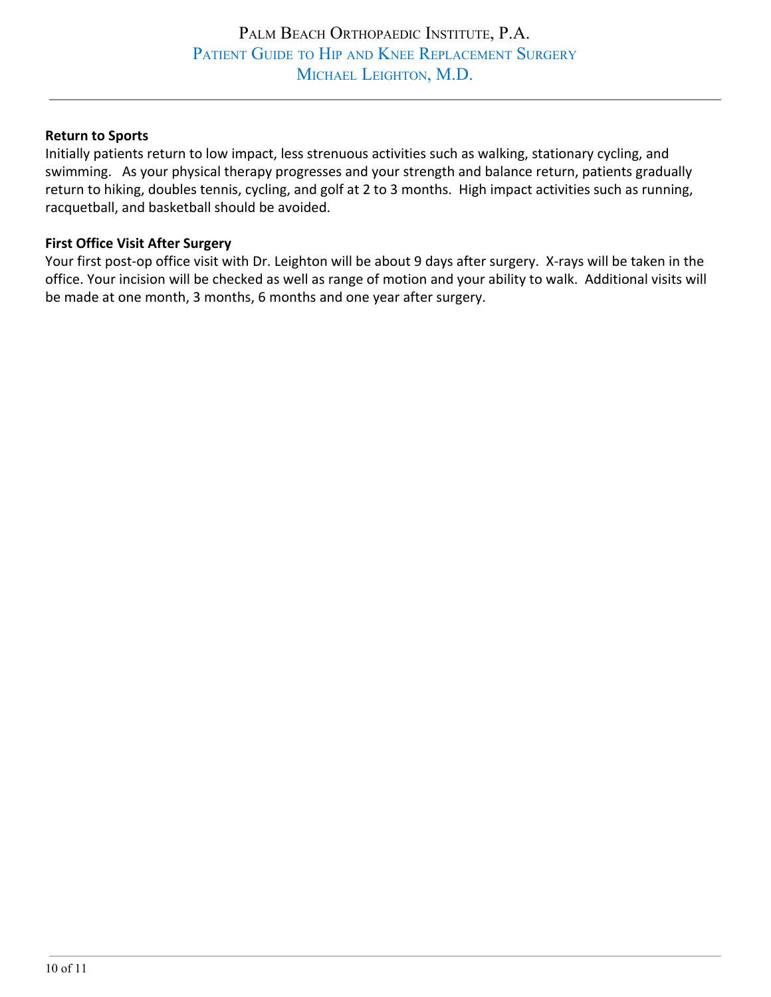#### **Return to Sports**

Initially patients return to low impact, less strenuous activities such as walking, stationary cycling, and swimming. As your physical therapy progresses and your strength and balance return, patients gradually return to hiking, doubles tennis, cycling, and golf at 2 to 3 months. High impact activities such as running, racquetball, and basketball should be avoided.

#### **First Office Visit After Surgery**

Your first post-op office visit with Dr. Leighton will be about 9 days after surgery. X-rays will be taken in the office. Your incision will be checked as well as range of motion and your ability to walk. Additional visits will be made at one month, 3 months, 6 months and one year after surgery.